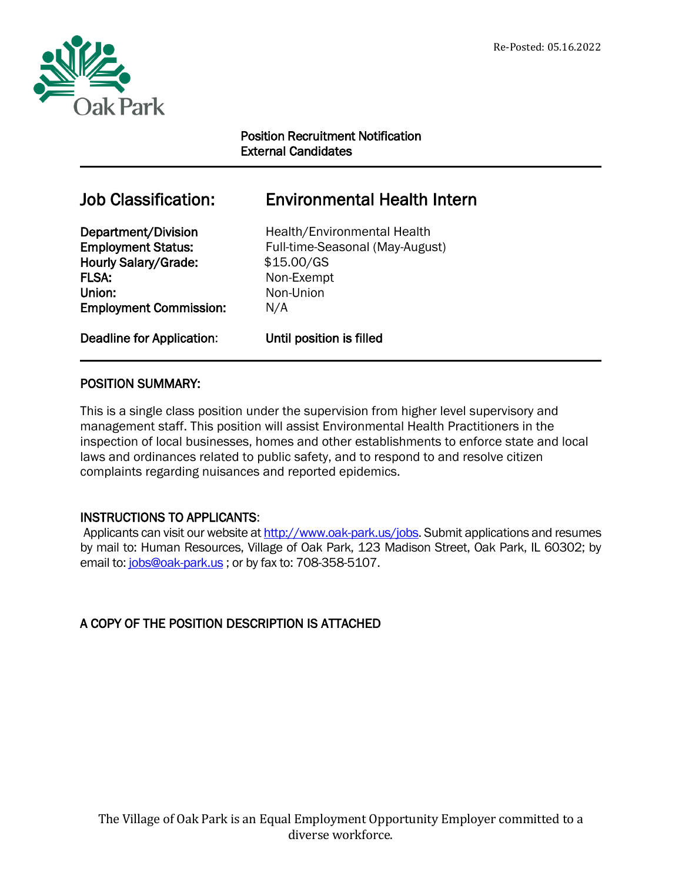

## Position Recruitment Notification External Candidates

# Job Classification: Environmental Health Intern

Hourly Salary/Grade:  $$15.00/GS$ FLSA: Non-Exempt Union: Non-Union Employment Commission: N/A

Department/Division Health/Environmental Health Employment Status: Full-time-Seasonal (May-August)

Deadline for Application: Until position is filled

## POSITION SUMMARY:

This is a single class position under the supervision from higher level supervisory and management staff. This position will assist Environmental Health Practitioners in the inspection of local businesses, homes and other establishments to enforce state and local laws and ordinances related to public safety, and to respond to and resolve citizen complaints regarding nuisances and reported epidemics.

## INSTRUCTIONS TO APPLICANTS:

Applicants can visit our website at [http://www.oak-park.us/j](http://www.oak-park.us/)obs. Submit applications and resumes by mail to: Human Resources, Village of Oak Park, 123 Madison Street, Oak Park, IL 60302; by email to: [jobs@oak-park.us](mailto:jobs@oak-park.us); or by fax to: 708-358-5107.

## A COPY OF THE POSITION DESCRIPTION IS ATTACHED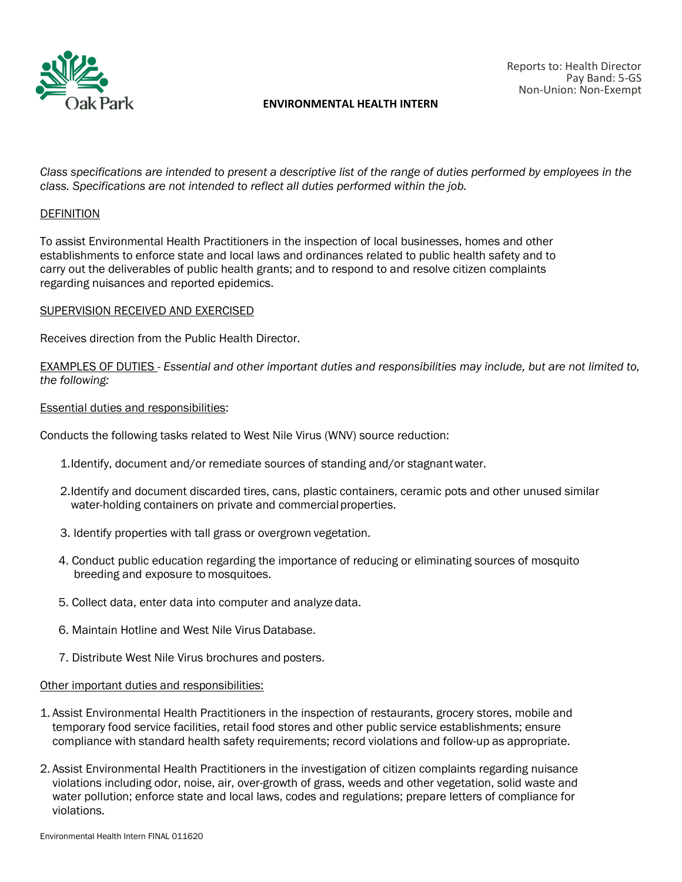

#### **ENVIRONMENTAL HEALTH INTERN**

*Class specifications are intended to present a descriptive list of the range of duties performed by employees in the class. Specifications are not intended to reflect all duties performed within the job.*

#### **DEFINITION**

To assist Environmental Health Practitioners in the inspection of local businesses, homes and other establishments to enforce state and local laws and ordinances related to public health safety and to carry out the deliverables of public health grants; and to respond to and resolve citizen complaints regarding nuisances and reported epidemics.

#### SUPERVISION RECEIVED AND EXERCISED

Receives direction from the Public Health Director.

EXAMPLES OF DUTIES - *Essential and other important duties and responsibilities may include, but are not limited to, the following:*

#### Essential duties and responsibilities:

Conducts the following tasks related to West Nile Virus (WNV) source reduction:

- 1.Identify, document and/or remediate sources of standing and/or stagnantwater.
- 2.Identify and document discarded tires, cans, plastic containers, ceramic pots and other unused similar water-holding containers on private and commercial properties.
- 3. Identify properties with tall grass or overgrown vegetation.
- 4. Conduct public education regarding the importance of reducing or eliminating sources of mosquito breeding and exposure to mosquitoes.
- 5. Collect data, enter data into computer and analyze data.
- 6. Maintain Hotline and West Nile Virus Database.
- 7. Distribute West Nile Virus brochures and posters.

#### Other important duties and responsibilities:

- 1. Assist Environmental Health Practitioners in the inspection of restaurants, grocery stores, mobile and temporary food service facilities, retail food stores and other public service establishments; ensure compliance with standard health safety requirements; record violations and follow-up as appropriate.
- 2. Assist Environmental Health Practitioners in the investigation of citizen complaints regarding nuisance violations including odor, noise, air, over-growth of grass, weeds and other vegetation, solid waste and water pollution; enforce state and local laws, codes and regulations; prepare letters of compliance for violations.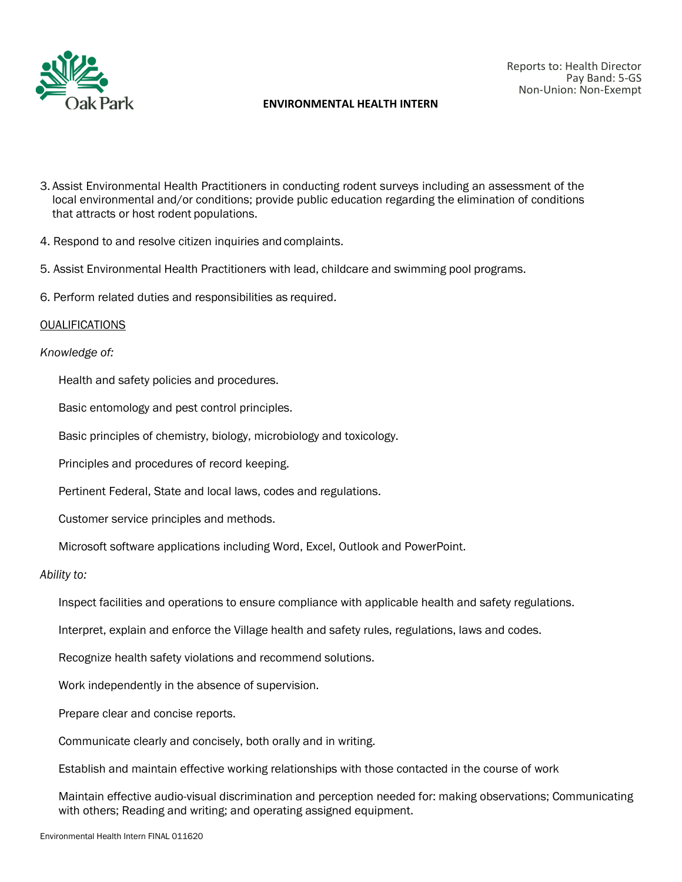

#### **ENVIRONMENTAL HEALTH INTERN**

- 3. Assist Environmental Health Practitioners in conducting rodent surveys including an assessment of the local environmental and/or conditions; provide public education regarding the elimination of conditions that attracts or host rodent populations.
- 4. Respond to and resolve citizen inquiries and complaints.
- 5. Assist Environmental Health Practitioners with lead, childcare and swimming pool programs.
- 6. Perform related duties and responsibilities as required.

#### **OUALIFICATIONS**

#### *Knowledge of:*

Health and safety policies and procedures.

Basic entomology and pest control principles.

Basic principles of chemistry, biology, microbiology and toxicology.

Principles and procedures of record keeping.

Pertinent Federal, State and local laws, codes and regulations.

Customer service principles and methods.

Microsoft software applications including Word, Excel, Outlook and PowerPoint.

#### *Ability to:*

Inspect facilities and operations to ensure compliance with applicable health and safety regulations.

Interpret, explain and enforce the Village health and safety rules, regulations, laws and codes.

Recognize health safety violations and recommend solutions.

Work independently in the absence of supervision.

Prepare clear and concise reports.

Communicate clearly and concisely, both orally and in writing.

Establish and maintain effective working relationships with those contacted in the course of work

Maintain effective audio-visual discrimination and perception needed for: making observations; Communicating with others; Reading and writing; and operating assigned equipment.